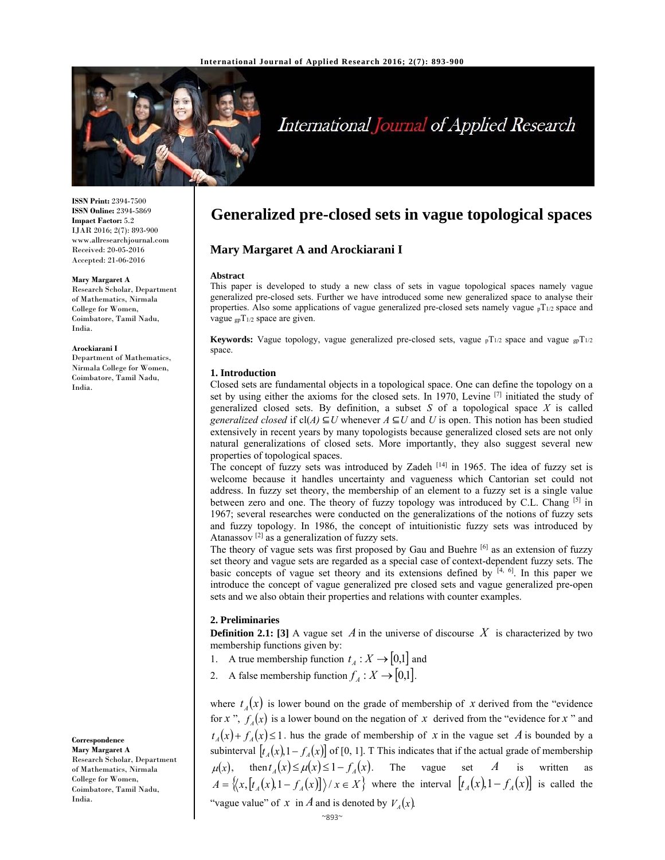

# International Journal of Applied Research

**ISSN Print:** 2394-7500 **ISSN Online:** 2394-5869 **Impact Factor:** 5.2 IJAR 2016; 2(7): 893-900 www.allresearchjournal.com Received: 20-05-2016 Accepted: 21-06-2016

#### **Mary Margaret A**

Research Scholar, Department of Mathematics, Nirmala College for Women, Coimbatore, Tamil Nadu, India.

#### **Arockiarani I**

Department of Mathematics, Nirmala College for Women, Coimbatore, Tamil Nadu, India.

**Correspondence Mary Margaret A** 

Research Scholar, Department of Mathematics, Nirmala College for Women, Coimbatore, Tamil Nadu, India.

# **Generalized pre-closed sets in vague topological spaces**

# **Mary Margaret A and Arockiarani I**

#### **Abstract**

This paper is developed to study a new class of sets in vague topological spaces namely vague generalized pre-closed sets. Further we have introduced some new generalized space to analyse their properties. Also some applications of vague generalized pre-closed sets namely vague  $pT_{1/2}$  space and vague  $_{gp}T_{1/2}$  space are given.

**Keywords:** Vague topology, vague generalized pre-closed sets, vague  $pT_{1/2}$  space and vague  $pT_{1/2}$ space.

#### **1. Introduction**

Closed sets are fundamental objects in a topological space. One can define the topology on a set by using either the axioms for the closed sets. In 1970, Levine <sup>[7]</sup> initiated the study of generalized closed sets. By definition, a subset *S* of a topological space *X* is called *generalized closed* if cl(*A*)  $\subseteq U$  whenever *A*  $\subseteq U$  and *U* is open. This notion has been studied extensively in recent years by many topologists because generalized closed sets are not only natural generalizations of closed sets. More importantly, they also suggest several new properties of topological spaces.

The concept of fuzzy sets was introduced by Zadeh  $[14]$  in 1965. The idea of fuzzy set is welcome because it handles uncertainty and vagueness which Cantorian set could not address. In fuzzy set theory, the membership of an element to a fuzzy set is a single value between zero and one. The theory of fuzzy topology was introduced by C.L. Chang [5] in 1967; several researches were conducted on the generalizations of the notions of fuzzy sets and fuzzy topology. In 1986, the concept of intuitionistic fuzzy sets was introduced by Atanassov [2] as a generalization of fuzzy sets.

The theory of vague sets was first proposed by Gau and Buehre [6] as an extension of fuzzy set theory and vague sets are regarded as a special case of context-dependent fuzzy sets. The basic concepts of vague set theory and its extensions defined by  $[4, 6]$ . In this paper we introduce the concept of vague generalized pre closed sets and vague generalized pre-open sets and we also obtain their properties and relations with counter examples.

#### **2. Preliminaries**

**Definition 2.1:** [3] A vague set  $\vec{A}$  in the universe of discourse  $\vec{X}$  is characterized by two membership functions given by:

- 1. A true membership function  $t_A : X \to [0,1]$  and
- 2. A false membership function  $f_A: X \to [0,1]$ .

where  $t_A(x)$  is lower bound on the grade of membership of x derived from the "evidence" for *x* ",  $f_A(x)$  is a lower bound on the negation of *x* derived from the "evidence for *x* " and  $t_A(x) + f_A(x) \leq 1$ . hus the grade of membership of *x* in the vague set *A* is bounded by a subinterval  $[t_A(x), 1-f_A(x)]$  of [0, 1]. T This indicates that if the actual grade of membership  $\mu(x)$ , then  $t_A(x) \le \mu(x) \le 1 - f_A(x)$ . The vague set *A* is written as  $A = \left\{ \left\langle x, \left[ t_A(x), 1 - f_A(x) \right] \right\rangle / x \in X \right\}$  where the interval  $\left[ t_A(x), 1 - f_A(x) \right]$  is called the "vague value" of *x* in *A* and is denoted by  $V_A(x)$ .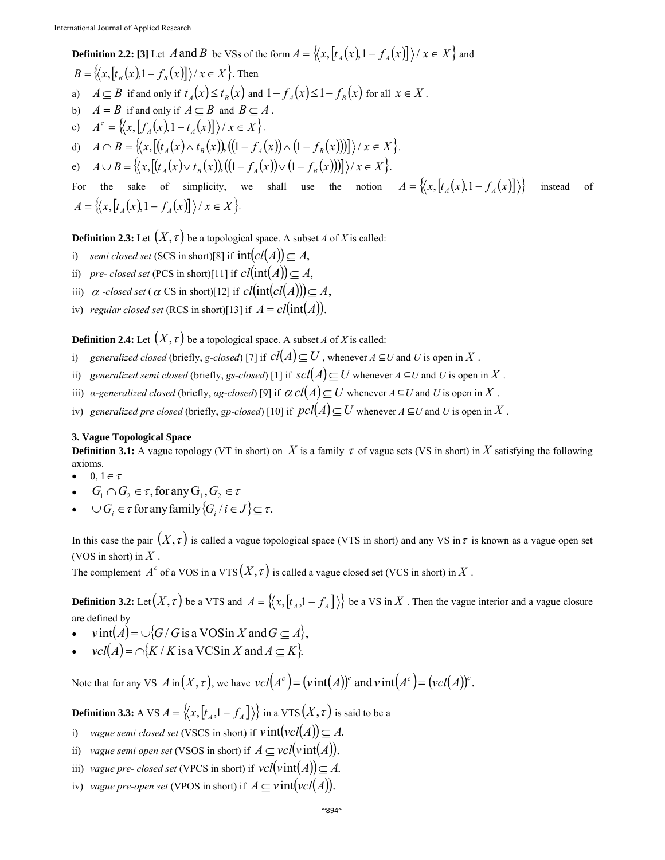**Definition 2.2:** [3] Let *A* and *B* be VSs of the form  $A = \{(x, [t_A(x), 1 - f_A(x)]\}/x \in X\}$  and  $B = \left\{ \left\langle x, \left[ t_{B}(x), 1 - f_{B}(x) \right] \right\rangle / x \in X \right\}$ . Then a)  $A \subseteq B$  if and only if  $t_1(x) \le t_R(x)$  and  $1 - f_1(x) \le 1 - f_R(x)$  for all  $x \in X$ . b)  $A = B$  if and only if  $A \subseteq B$  and  $B \subseteq A$ . c)  $A^c = \{ (x, [f_4(x), 1-t_4(x)] \} / x \in X \}.$ d)  $A \cap B = \{ (x, [(t_A(x) \wedge t_B(x))], ((1 - f_A(x)) \wedge (1 - f_B(x)) ) ] \} / x \in X \}.$ e)  $A \cup B = \{ (x, [(t_A(x)) \vee t_B(x)), ((1 - f_A(x)) \vee (1 - f_B(x)) ) ] \} / x \in X \}.$ For the sake of simplicity, we shall use the notion  $A = \{ (x, [t_A(x), 1 - f_A(x)] ) \}$  instead of  $A = \{ (x, [t_A(x), 1 - f_A(x)]) \mid x \in X \}.$ 

**Definition 2.3:** Let  $(X, \tau)$  be a topological space. A subset *A* of *X* is called:

- i) *semi closed set* (SCS in short)[8] if  $int(cl(A)) \subseteq A$ ,
- ii) *pre- closed set* (PCS in short)[11] if  $cl(int(A)) \subseteq A$ ,
- iii)  $\alpha$  -closed set ( $\alpha$  CS in short)[12] if  $cl(int(cl(A))) \subseteq A$ ,
- iv) *regular closed set* (RCS in short)[13] if  $A = cl(int(A)).$

**Definition 2.4:** Let  $(X, \tau)$  be a topological space. A subset *A* of *X* is called:

- i) *generalized closed (briefly, g-closed)* [7] if  $cl(A) \subseteq U$ , whenever  $A \subseteq U$  and  $U$  is open in  $X$ .
- ii) *generalized semi closed (briefly, gs-closed)* [1] if  $\text{scl}(A) \subseteq U$  whenever  $A \subseteq U$  and  $U$  is open in  $X$ .
- iii) *a-generalized closed* (briefly, *ag-closed*) [9] if  $\alpha$  *cl*(*A*)  $\subseteq$  *U* whenever *A*  $\subseteq$  *U* and *U* is open in *X*.
- iv) *generalized pre closed* (briefly, *gp-closed*) [10] if  $\text{pcl}(A) \subseteq U$  whenever  $A \subseteq U$  and  $U$  is open in  $X$ .

#### **3. Vague Topological Space**

**Definition 3.1:** A vague topology (VT in short) on X is a family  $\tau$  of vague sets (VS in short) in X satisfying the following axioms.

- $0, 1 \in \tau$
- $G_1 \cap G_2 \in \tau$ , for any  $G_1, G_2 \in \tau$
- $\bullet \quad \cup G_i \in \tau \text{ for any family } \{G_i \mid i \in J\} \subseteq \tau.$

In this case the pair  $(X, \tau)$  is called a vague topological space (VTS in short) and any VS in  $\tau$  is known as a vague open set (VOS in short) in *X* .

The complement  $A^c$  of a VOS in a VTS  $(X, \tau)$  is called a vague closed set (VCS in short) in  $X$ .

**Definition 3.2:** Let  $(X, \tau)$  be a VTS and  $A = \{(x, [t_A, 1 - t_A]\})\}$  be a VS in X. Then the vague interior and a vague closure are defined by

- $v$  int $(A) = \bigcup \{ G/G$  is a VOSin *X* and  $G \subseteq A \}$ ,
- $vcl(A) = \bigcap \{ K / K \text{ is a VCS in } X \text{ and } A \subset K \}.$

Note that for any VS  $A$  in $(X, \tau)$ , we have  $vcl(A^c) = (vint(A))^c$  and  $vint(A^c) = (vcl(A))^c$ .

**Definition 3.3:** A VS  $A = \{(x, [t_A, 1 - f_A])\}$  in a VTS  $(X, \tau)$  is said to be a

- i) *vague semi closed set* (VSCS in short) if  $vint(vcl(A)) \subseteq A$ .
- ii) *vague semi open set* (VSOS in short) if  $A \subseteq \text{vcl}(v\text{int}(A)).$
- iii) *vague pre- closed set* (VPCS in short) if  $\text{vel}(vint(A)) \subseteq A$ .
- iv) *vague pre-open set* (VPOS in short) if  $A \subseteq \text{v} \text{int}(\text{vcl}(A)).$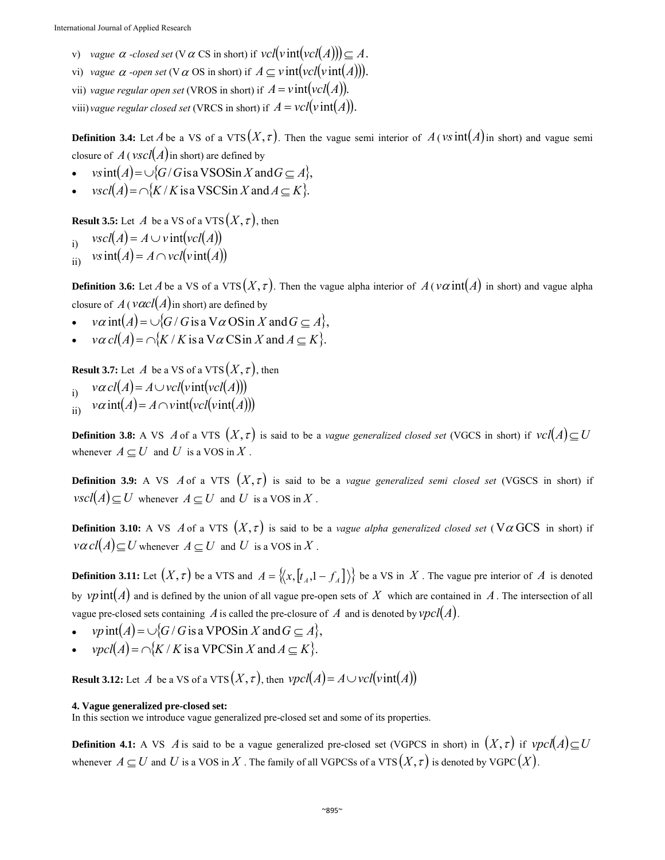- *v*) *vague*  $\alpha$  *-closed set* (V  $\alpha$  CS in short) if  $\text{vel}(v\text{int}(vcl(A))) \subseteq A$ .
- vi) *vague*  $\alpha$  *-open set* (V $\alpha$  OS in short) if  $A \subseteq \text{vint}(\text{vcl}(\text{vint}(A)))$ .
- vii) *vague regular open set* (VROS in short) if  $A = \text{vint}(\text{vcl}(A)).$
- viii) *vague regular closed set* (VRCS in short) if  $A = \text{vcl}(v \text{ int}(A)).$

**Definition 3.4:** Let *A* be a VS of a VTS  $(X, \tau)$ . Then the vague semi interior of  $A$  (*vs* int  $(A)$  in short) and vague semi closure of  $A$  (*vscl*( $A$ ) in short) are defined by

- $v\sin(A) = \bigcup \{ G/G \}$  is a VSOSin *X* and  $G \subseteq A \}$ ,
- $\text{vscl}(A) = \bigcap \{ K/K \text{ is a VSCSin } X \text{ and } A \subseteq K \}.$

**Result 3.5:** Let *A* be a VS of a VTS  $(X, \tau)$ , then

- $\text{Var}(A) = A \cup \text{vint}(\text{vcl}(A))$
- $\lim_{\text{ii)}$  *vs*  $\text{int}(A) = A \cap \text{vcl}(\text{vint}(A))$

**Definition 3.6:** Let *A* be a VS of a VTS  $(X, \tau)$ . Then the vague alpha interior of  $A(v\alpha)$  in short) and vague alpha closure of  $A(\text{vac} l(A))$  in short) are defined by

- $v\alpha$  int(A) =  $\bigcup$ {*G* / *G* is a V $\alpha$  OS in *X* and *G*  $\subseteq$  A},
- $v\alpha \text{ } cl(A) = \bigcap \{K/K \text{ is a } V\alpha \text{ } CS\text{ in } X \text{ and } A \subseteq K\}.$

**Result 3.7:** Let *A* be a VS of a VTS  $(X, \tau)$ , then

- $i$   $\alpha$  *cl*(*A*) = *A*  $\cup$  *vcl*(*v*int(*vcl*(*A*)))
- $\alpha$  *i*)  $v\alpha$  int(*A*) = *A*  $\sim$  *v* int(*vcl*(*v* int(*A*)))

**Definition 3.8:** A VS *A* of a VTS  $(X, \tau)$  is said to be a *vague generalized closed set* (VGCS in short) if  $vel(A) \subseteq U$ whenever  $A \subseteq U$  and  $U$  is a VOS in  $X$ .

**Definition 3.9:** A VS *A* of a VTS  $(X, \tau)$  is said to be a *vague generalized semi closed set* (VGSCS in short) if  $\text{v}\text{ } s\text{ } c\text{ } l(A) \subseteq U$  whenever  $A \subseteq U$  and  $U$  is a VOS in  $X$ .

**Definition 3.10:** A VS  $\vec{A}$  of a VTS  $(X, \tau)$  is said to be a *vague alpha generalized closed set* ( $V\alpha$  GCS in short) if  $v \alpha c l(A) \subseteq U$  whenever  $A \subseteq U$  and U is a VOS in X.

**Definition 3.11:** Let  $(X, \tau)$  be a VTS and  $A = \{(x, [t_A, 1 - t_A]\})\}$  be a VS in X. The vague pre interior of A is denoted by  $vp\text{ int}(A)$  and is defined by the union of all vague pre-open sets of X which are contained in A. The intersection of all vague pre-closed sets containing *A* is called the pre-closure of *A* and is denoted by  $vpcl(A)$ .

- $vp$  int $(A) = \bigcup \{ G/G$  is a VPOS in *X* and  $G \subseteq A \}$ ,
- $\text{vpcl}(A) = \bigcap \{ K / K \text{ is a VPCSin } X \text{ and } A \subseteq K \}.$

**Result 3.12:** Let *A* be a VS of a VTS  $(X, \tau)$ , then  $\nu pcl(A) = A \cup \nu cl(\nu int(A))$ 

#### **4. Vague generalized pre-closed set:**

In this section we introduce vague generalized pre-closed set and some of its properties.

**Definition 4.1:** A VS *A* is said to be a vague generalized pre-closed set (VGPCS in short) in  $(X, \tau)$  if  $vpcl(A) \subseteq U$ whenever  $A \subseteq U$  and U is a VOS in X. The family of all VGPCSs of a VTS  $(X, \tau)$  is denoted by VGPC  $(X)$ .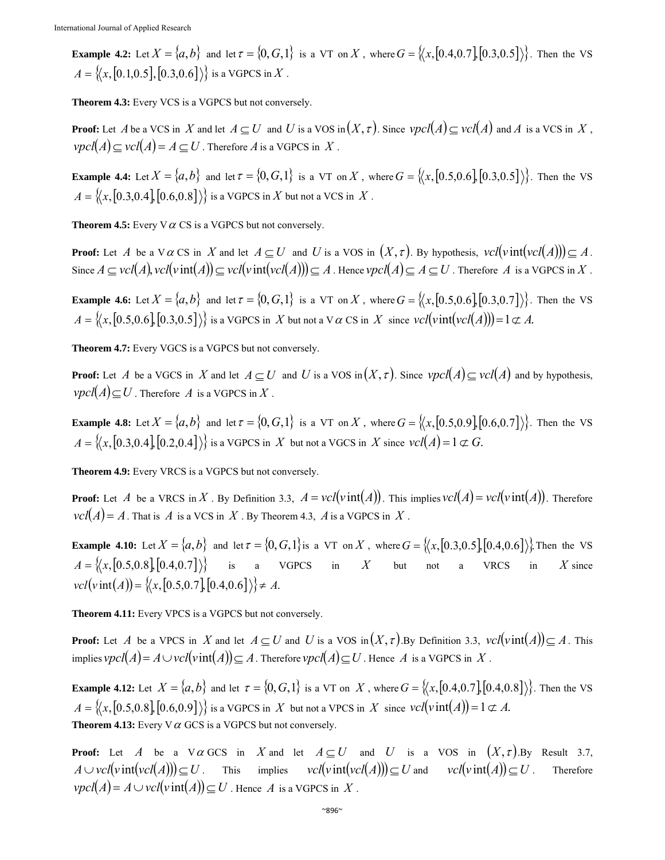**Example 4.2:** Let  $X = \{a, b\}$  and let  $\tau = \{0, G, 1\}$  is a VT on *X*, where  $G = \{(x, [0.4, 0.7], [0.3, 0.5]\})\}$ . Then the VS  $A = \{(x, [0.1, 0.5], [0.3, 0.6]\})\}$  is a VGPCS in *X*.

**Theorem 4.3:** Every VCS is a VGPCS but not conversely.

**Proof:** Let *A* be a VCS in *X* and let  $A \subseteq U$  and *U* is a VOS in  $(X, \tau)$ . Since  $vpcl(A) \subseteq vcl(A)$  and *A* is a VCS in *X*,  $\text{vol}(A) \subseteq \text{vol}(A) = A \subseteq U$ . Therefore *A* is a VGPCS in *X*.

**Example 4.4:** Let  $X = \{a, b\}$  and let  $\tau = \{0, G, 1\}$  is a VT on X, where  $G = \{(x, [0.5, 0.6], [0.3, 0.5]\})\}$ . Then the VS  $A = \{(x, [0.3, 0.4], [0.6, 0.8])\}$  is a VGPCS in *X* but not a VCS in *X*.

**Theorem 4.5:** Every  $\nabla \alpha$  CS is a VGPCS but not conversely.

**Proof:** Let *A* be a V  $\alpha$  CS in *X* and let  $A \subseteq U$  and *U* is a VOS in  $(X, \tau)$ . By hypothesis,  $vel(vint(vA))) \subseteq A$ . Since  $A \subseteq vcl(A)$ ,  $vcl(vint(A)) \subseteq vcl(vint(vcl(A))) \subseteq A$ . Hence  $vpl(A) \subseteq A \subseteq U$ . Therefore *A* is a VGPCS in *X*.

**Example 4.6:** Let  $X = \{a, b\}$  and let  $\tau = \{0, G, 1\}$  is a VT on *X*, where  $G = \{(x, [0.5, 0.6], [0.3, 0.7]\})\}$ . Then the VS  $A = \{(x, [0.5, 0.6], [0.3, 0.5]\})\}$  is a VGPCS in *X* but not a V  $\alpha$  CS in *X* since  $vel(vint(vcl(A))) = 1 \subset \mathcal{A}$ .

**Theorem 4.7:** Every VGCS is a VGPCS but not conversely.

**Proof:** Let *A* be a VGCS in *X* and let  $A \subseteq U$  and *U* is a VOS in  $(X, \tau)$ . Since  $vpcl(A) \subseteq vcl(A)$  and by hypothesis,  $\text{vpcl}(A) \subseteq U$ . Therefore *A* is a VGPCS in *X*.

**Example 4.8:** Let  $X = \{a, b\}$  and let  $\tau = \{0, G, 1\}$  is a VT on *X*, where  $G = \{(x, [0.5, 0.9], [0.6, 0.7]\})\}$ . Then the VS  $A = \{(x, [0.3, 0.4], [0.2, 0.4]\})\}$  is a VGPCS in *X* but not a VGCS in *X* since  $vcl(A) = 1 \not\subset G$ .

**Theorem 4.9:** Every VRCS is a VGPCS but not conversely.

**Proof:** Let *A* be a VRCS in *X*. By Definition 3.3,  $A = \text{vel}(v \text{ int}(A))$ . This implies  $\text{vel}(A) = \text{vel}(v \text{ int}(A))$ . Therefore  $\text{vol}(A) = A$ . That is *A* is a VCS in *X*. By Theorem 4.3, *A* is a VGPCS in *X*.

**Example 4.10:** Let  $X = \{a,b\}$  and let  $\tau = \{0,G,1\}$  is a VT on X, where  $G = \{(x,[0.3,0.5],[0.4,0.6])\}$ . Then the VS  $A = \{(x, [0.5, 0.8], [0.4, 0.7])\}$  is a VGPCS in *X* but not a VRCS in *X* since  $vcl(v \text{ int}(A)) = \{(x, [0.5, 0.7], [0.4, 0.6]\}) \neq A.$ 

**Theorem 4.11:** Every VPCS is a VGPCS but not conversely.

**Proof:** Let *A* be a VPCS in *X* and let  $A \subseteq U$  and *U* is a VOS in  $(X, \tau)$ . By Definition 3.3,  $vel(vint(A)) \subseteq A$ . This implies  $\text{vpcl}(A) = A \cup \text{vcl}(\text{vint}(A)) \subseteq A$ . Therefore  $\text{vpcl}(A) \subseteq U$ . Hence *A* is a VGPCS in *X*.

**Example 4.12:** Let  $X = \{a,b\}$  and let  $\tau = \{0,G,1\}$  is a VT on *X*, where  $G = \{(x,[0.4,0.7],[0.4,0.8])\}$ . Then the VS  $A = \{(x, [0.5, 0.8], [0.6, 0.9]\})\}$  is a VGPCS in *X* but not a VPCS in *X* since  $vcl(vint(A)) = 1 \not\subset A$ . **Theorem 4.13:** Every  $\nabla \alpha$  GCS is a VGPCS but not conversely.

**Proof:** Let *A* be a V  $\alpha$  GCS in *X* and let  $A \subseteq U$  and *U* is a VOS in  $(X, \tau)$ . By Result 3.7,  $A \cup \text{vel}(v\text{ int}(vcl(A))) \subseteq U$ . This implies  $\text{vel}(v\text{ int}(vcl(A))) \subseteq U$  and  $\text{vel}(v\text{ int}(A)) \subseteq U$ . Therefore  $\text{vpcl}(A) = A \cup \text{vcl}(\text{vint}(A)) \subseteq U$ . Hence *A* is a VGPCS in *X*.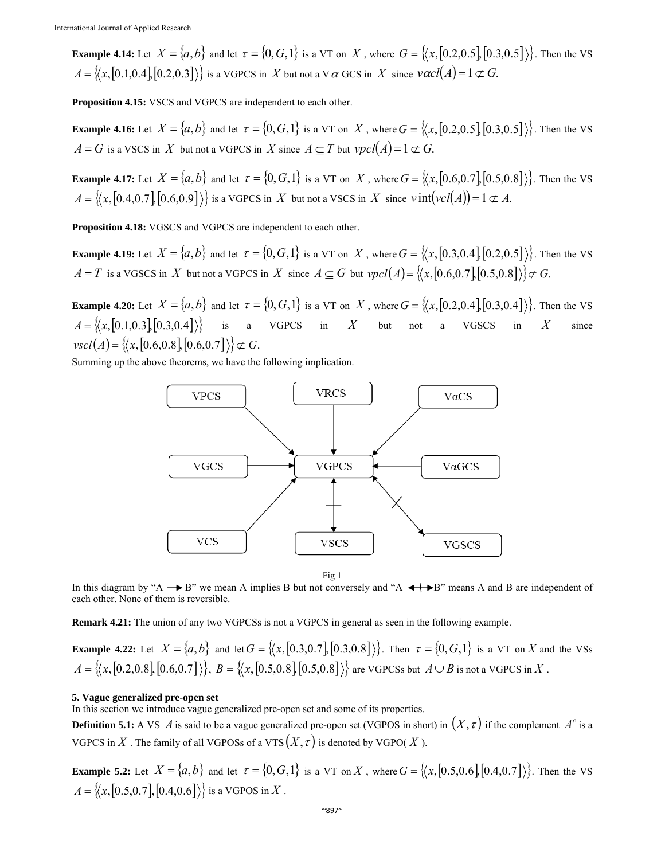**Example 4.14:** Let  $X = \{a, b\}$  and let  $\tau = \{0, G, 1\}$  is a VT on *X*, where  $G = \{(x, [0.2, 0.5], [0.3, 0.5]\})\}$ . Then the VS  $A = \{(x, [0.1, 0.4], [0.2, 0.3]\})\}$  is a VGPCS in *X* but not a V  $\alpha$  GCS in *X* since  $\text{vacl}(A) = 1 \subset G$ .

**Proposition 4.15:** VSCS and VGPCS are independent to each other.

**Example 4.16:** Let  $X = \{a, b\}$  and let  $\tau = \{0, G, 1\}$  is a VT on *X*, where  $G = \{(x, [0.2, 0.5], [0.3, 0.5]\})\}$ . Then the VS  $A = G$  is a VSCS in *X* but not a VGPCS in *X* since  $A \subseteq T$  but  $vpcl(A) = 1 \not\subset G$ .

**Example 4.17:** Let  $X = \{a, b\}$  and let  $\tau = \{0, G, 1\}$  is a VT on *X*, where  $G = \{(x, [0.6, 0.7], [0.5, 0.8]\})\}$ . Then the VS  $A = \{(x, [0.4, 0.7], [0.6, 0.9]\})\}$  is a VGPCS in *X* but not a VSCS in *X* since  $v \text{ int}(vcl(A)) = 1 \not\subset A$ .

**Proposition 4.18:** VGSCS and VGPCS are independent to each other.

**Example 4.19:** Let  $X = \{a, b\}$  and let  $\tau = \{0, G, 1\}$  is a VT on X, where  $G = \{(x, [0.3, 0.4], [0.2, 0.5]\})\}$ . Then the VS  $A = T$  is a VGSCS in *X* but not a VGPCS in *X* since  $A \subseteq G$  but  $vpcl(A) = \{(x, [0.6, 0.7], [0.5, 0.8]\}) \subset G$ .

**Example 4.20:** Let  $X = \{a, b\}$  and let  $\tau = \{0, G, 1\}$  is a VT on *X*, where  $G = \{(x, [0.2, 0.4], [0.3, 0.4]\})\}$ . Then the VS  $A = \{(x, [0.1, 0.3], [0.3, 0.4]\})\}$  is a VGPCS in *X* but not a VGSCS in *X* since  $\langle \text{vsc1}(A) = \{ \langle x, [0.6, 0.8], [0.6, 0.7] \rangle \} \subset G$ .

Summing up the above theorems, we have the following implication.



Fig 1

In this diagram by "A  $\rightarrow$  B" we mean A implies B but not conversely and "A  $\leftrightarrow$ B" means A and B are independent of each other. None of them is reversible.

**Remark 4.21:** The union of any two VGPCSs is not a VGPCS in general as seen in the following example.

**Example 4.22:** Let  $X = \{a, b\}$  and let  $G = \{(x, [0.3, 0.7], [0.3, 0.8]\})\}$ . Then  $\tau = \{0, G, 1\}$  is a VT on *X* and the VSs  $A = \{(x, [0.2, 0.8], [0.6, 0.7]\})\}, B = \{(x, [0.5, 0.8], [0.5, 0.8]\})$  are VGPCSs but  $A \cup B$  is not a VGPCS in  $X$ .

# **5. Vague generalized pre-open set**

In this section we introduce vague generalized pre-open set and some of its properties.

**Definition 5.1:** A VS  $\vec{A}$  is said to be a vague generalized pre-open set (VGPOS in short) in  $(X, \tau)$  if the complement  $A^c$  is a VGPCS in X. The family of all VGPOSs of a VTS  $(X, \tau)$  is denoted by VGPO(X).

**Example 5.2:** Let  $X = \{a, b\}$  and let  $\tau = \{0, G, 1\}$  is a VT on *X*, where  $G = \{(x, [0.5, 0.6], [0.4, 0.7]\})\}$ . Then the VS  $A = \{(x, [0.5, 0.7], [0.4, 0.6])\}$  is a VGPOS in *X*.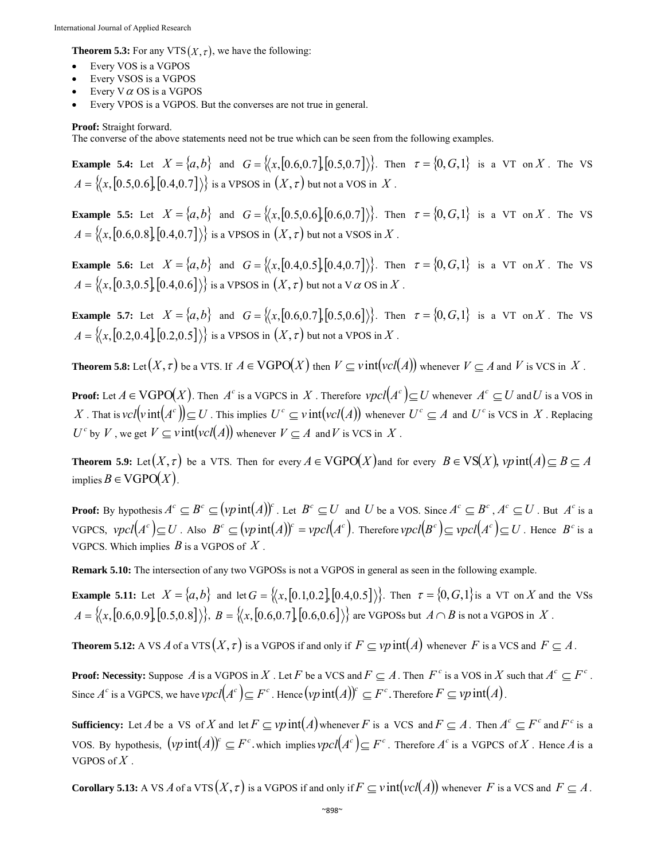**Theorem 5.3:** For any VTS $(X, \tau)$ , we have the following:

- Every VOS is a VGPOS
- Every VSOS is a VGPOS
- Every  $V \alpha$  OS is a VGPOS
- Every VPOS is a VGPOS. But the converses are not true in general.

**Proof:** Straight forward.

The converse of the above statements need not be true which can be seen from the following examples.

**Example 5.4:** Let  $X = \{a,b\}$  and  $G = \{(x, [0.6, 0.7], [0.5, 0.7])\}$ . Then  $\tau = \{0, G, 1\}$  is a VT on X. The VS  $A = \{(x, [0.5, 0.6], [0.4, 0.7]\})\}$  is a VPSOS in  $(X, \tau)$  but not a VOS in  $X$ .

**Example 5.5:** Let  $X = \{a,b\}$  and  $G = \{(x, [0.5, 0.6], [0.6, 0.7])\}$ . Then  $\tau = \{0, G, 1\}$  is a VT on X. The VS  $A = \{(x, [0.6, 0.8], [0.4, 0.7]\})\}$  is a VPSOS in  $(X, \tau)$  but not a VSOS in  $X$ .

**Example 5.6:** Let  $X = \{a,b\}$  and  $G = \{(x, [0.4, 0.5], [0.4, 0.7]\})\}$ . Then  $\tau = \{0, G, 1\}$  is a VT on X. The VS  $A = \{(x, [0.3, 0.5], [0.4, 0.6]\})\}$  is a VPSOS in  $(X, \tau)$  but not a V  $\alpha$  OS in X.

**Example 5.7:** Let  $X = \{a,b\}$  and  $G = \{(x, [0.6, 0.7], [0.5, 0.6])\}$ . Then  $\tau = \{0, G, 1\}$  is a VT on X. The VS  $A = \{(x, [0.2, 0.4], [0.2, 0.5]\})\}$  is a VPSOS in  $(X, \tau)$  but not a VPOS in X.

**Theorem 5.8:** Let  $(X, \tau)$  be a VTS. If  $A \in VGPO(X)$  then  $V \subseteq Vint(vcl(A))$  whenever  $V \subseteq A$  and *V* is VCS in *X*.

**Proof:** Let  $A \in VGPO(X)$ . Then  $A^c$  is a VGPCS in X. Therefore  $vpcl(A^c) \subseteq U$  whenever  $A^c \subseteq U$  and U is a VOS in X. That is  $vcl(vint(A^c)) \subseteq U$ . This implies  $U^c \subseteq vint(vcl(A))$  whenever  $U^c \subseteq A$  and  $U^c$  is VCS in X. Replacing  $U^c$  by *V*, we get  $V \subseteq \text{vint}(\text{vcl}(A))$  whenever  $V \subseteq A$  and *V* is VCS in *X*.

**Theorem 5.9:** Let  $(X, \tau)$  be a VTS. Then for every  $A \in VGPO(X)$  and for every  $B \in VS(X)$ ,  $vp$  int  $(A) \subseteq B \subseteq A$ implies  $B \in VGPO(X)$ .

**Proof:** By hypothesis  $A^c \subseteq B^c \subseteq (vp\operatorname{int}(A))^c$ . Let  $B^c \subseteq U$  and U be a VOS. Since  $A^c \subseteq B^c$ ,  $A^c \subseteq U$ . But  $A^c$  is a VGPCS,  $vpcl(A^c) \subseteq U$ . Also  $B^c \subseteq (vp\operatorname{int}(A))^c = vpcl(A^c)$ . Therefore  $vpcl(B^c) \subseteq vpcl(A^c) \subseteq U$ . Hence  $B^c$  is a VGPCS. Which implies *B* is a VGPOS of *X* .

**Remark 5.10:** The intersection of any two VGPOSs is not a VGPOS in general as seen in the following example.

**Example 5.11:** Let  $X = \{a, b\}$  and let  $G = \{(x, [0.1, 0.2], [0.4, 0.5]\})\}$ . Then  $\tau = \{0, G, 1\}$  is a VT on X and the VSs  $A = \{(x, [0.6, 0.9], [0.5, 0.8]\}\}, B = \{(x, [0.6, 0.7], [0.6, 0.6]\})\}$  are VGPOSs but  $A \cap B$  is not a VGPOS in *X*.

**Theorem 5.12:** A VS *A* of a VTS  $(X, \tau)$  is a VGPOS if and only if  $F \subseteq \nu p$  int $(A)$  whenever *F* is a VCS and  $F \subseteq A$ .

**Proof: Necessity:** Suppose *A* is a VGPOS in *X*. Let *F* be a VCS and  $F \subseteq A$ . Then  $F^c$  is a VOS in *X* such that  $A^c \subseteq F^c$ . Since  $A^c$  is a VGPCS, we have  $\text{vpcl}(A^c) \subseteq F^c$ . Hence  $(\text{vp}\inf(A))^c \subseteq F^c$ . Therefore  $F \subseteq \text{vp}\inf(A)$ .

**Sufficiency:** Let *A* be a VS of *X* and let  $F \subseteq Vp$  int $(A)$  whenever *F* is a VCS and  $F \subseteq A$ . Then  $A^c \subseteq F^c$  and  $F^c$  is a VOS. By hypothesis,  $(p \text{ int}(A))^c \subseteq F^c$  which implies  $\text{vpcl}(A^c) \subseteq F^c$ . Therefore  $A^c$  is a VGPCS of *X*. Hence *A* is a VGPOS of *X* .

**Corollary 5.13:** A VS *A* of a VTS  $(X, \tau)$  is a VGPOS if and only if  $F \subseteq \text{vint}(\text{vol}(A))$  whenever *F* is a VCS and  $F \subseteq A$ .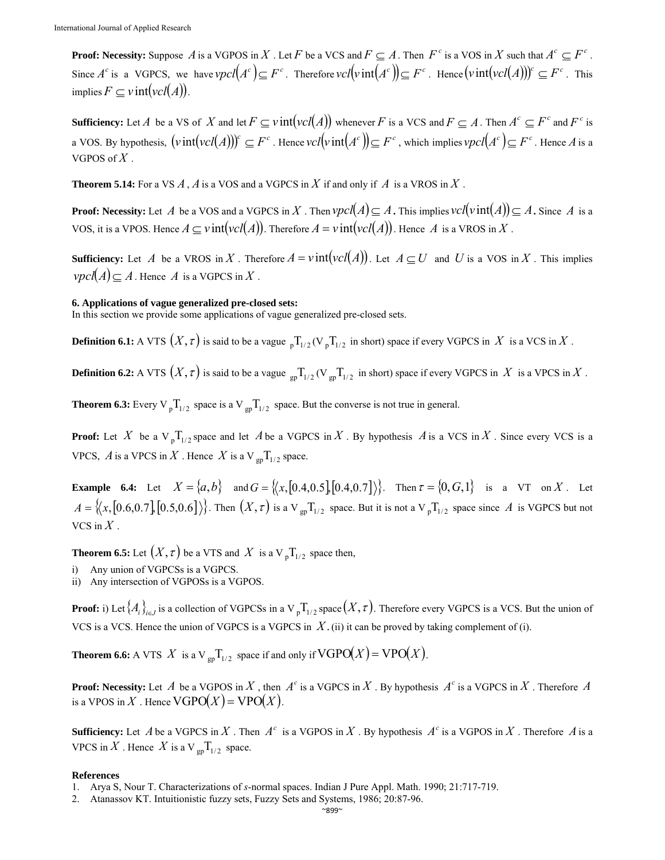**Proof: Necessity:** Suppose *A* is a VGPOS in *X*. Let *F* be a VCS and  $F \subseteq A$ . Then  $F^c$  is a VOS in *X* such that  $A^c \subseteq F^c$ . Since  $A^c$  is a VGPCS, we have  $\text{vpcl}(A^c) \subseteq F^c$ . Therefore  $\text{vcl}(\text{vint}(A^c)) \subseteq F^c$ . Hence  $(\text{vint}(\text{vcl}(A)))^c \subseteq F^c$ . This implies  $F \subset \text{v}$  int( $\text{vcl}(A)$ ).

**Sufficiency:** Let *A* be a VS of *X* and let  $F \subseteq \text{vint}(vel(A))$  whenever *F* is a VCS and  $F \subseteq A$ . Then  $A^c \subseteq F^c$  and  $F^c$  is a VOS. By hypothesis,  $(v\text{int}(vcl(A)))^c \subseteq F^c$ . Hence  $vcl(v\text{int}(A^c)) \subseteq F^c$ , which implies  $vpcl(A^c) \subseteq F^c$ . Hence A is a VGPOS of  $X$ .

**Theorem 5.14:** For a VS  $A$ ,  $A$  is a VOS and a VGPCS in  $X$  if and only if  $A$  is a VROS in  $X$ .

**Proof: Necessity:** Let *A* be a VOS and a VGPCS in *X*. Then  $\text{vpcl}(A) \subseteq A$ . This implies  $\text{vcl}(v\text{int}(A)) \subseteq A$ . Since *A* is a VOS, it is a VPOS. Hence  $A \subseteq \text{vint}(\text{vcl}(A))$ . Therefore  $A = \text{vint}(\text{vcl}(A))$ . Hence A is a VROS in X.

**Sufficiency:** Let *A* be a VROS in *X*. Therefore  $A = \text{v}$  int $(\text{vcl}(A))$ . Let  $A \subseteq U$  and *U* is a VOS in *X*. This implies  $\mathit{vpcl}(A) \subseteq A$ . Hence *A* is a VGPCS in *X*.

### **6. Applications of vague generalized pre-closed sets:**

In this section we provide some applications of vague generalized pre-closed sets.

**Definition 6.1:** A VTS  $(X, \tau)$  is said to be a vague  $_{p}T_{1/2}$  (V  $_{p}T_{1/2}$  in short) space if every VGPCS in *X* is a VCS in *X*.

**Definition 6.2:** A VTS  $(X, \tau)$  is said to be a vague  $_{\text{ep}}T_{1/2}$  (V  $_{\text{ep}}T_{1/2}$  in short) space if every VGPCS in *X* is a VPCS in *X*.

**Theorem 6.3:** Every V  $_{p}T_{1/2}$  space is a V  $_{gp}T_{1/2}$  space. But the converse is not true in general.

**Proof:** Let *X* be a  $V_p T_{1/2}$  space and let *A* be a VGPCS in *X*. By hypothesis *A* is a VCS in *X*. Since every VCS is a VPCS,  $\overline{A}$  is a VPCS in  $\overline{X}$ . Hence  $\overline{X}$  is a V<sub>gp</sub>T<sub>1/2</sub> space.

**Example 6.4:** Let  $X = \{a,b\}$  and  $G = \{(x, [0.4, 0.5], [0.4, 0.7])\}$ . Then  $\tau = \{0, G, 1\}$  is a VT on X. Let  $A = \{(x, [0.6, 0.7], [0.5, 0.6])\}$ . Then  $(X, \tau)$  is a V<sub> gp</sub>T<sub>1/2</sub> space. But it is not a V<sub>p</sub>T<sub>1/2</sub> space since *A* is VGPCS but not VCS in  $X$ .

**Theorem 6.5:** Let  $(X, \tau)$  be a VTS and  $X$  is a V  $_{p}T_{1/2}$  space then,

- i) Any union of VGPCSs is a VGPCS.
- ii) Any intersection of VGPOSs is a VGPOS.

**Proof:** i) Let  $\{A_i\}_{i\in I}$  is a collection of VGPCSs in a V<sub>p</sub>T<sub>1/2</sub> space  $(X, \tau)$ . Therefore every VGPCS is a VCS. But the union of VCS is a VCS. Hence the union of VGPCS is a VGPCS in *X*.(ii) it can be proved by taking complement of (i).

**Theorem 6.6:** A VTS *X* is a V  $_{\text{gp}} T_{1/2}$  space if and only if  $\text{VGPO}(X) = \text{VPO}(X)$ .

**Proof: Necessity:** Let *A* be a VGPOS in *X*, then  $A^c$  is a VGPCS in *X*. By hypothesis  $A^c$  is a VGPCS in *X*. Therefore *A* is a VPOS in X. Hence  $VGPO(X) = VPO(X)$ .

**Sufficiency:** Let *A* be a VGPCS in *X*. Then  $A^c$  is a VGPOS in *X*. By hypothesis  $A^c$  is a VGPOS in *X*. Therefore *A* is a VPCS in X. Hence X is a V  $_{\rm gp}T_{1/2}$  space.

#### **References**

<sup>1.</sup> Arya S, Nour T. Characterizations of *s*-normal spaces. Indian J Pure Appl. Math. 1990; 21:717-719.

<sup>2.</sup> Atanassov KT. Intuitionistic fuzzy sets, Fuzzy Sets and Systems, 1986; 20:87-96.